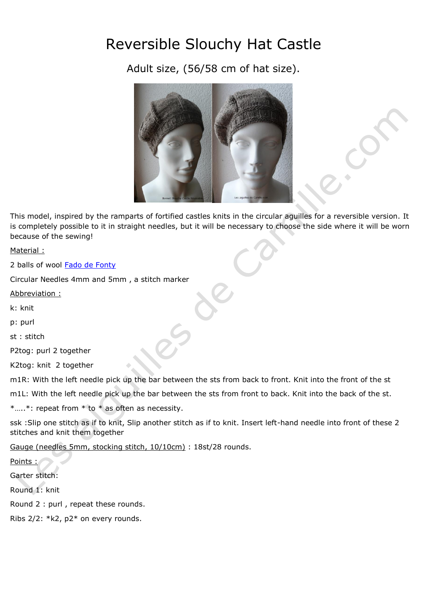## Reversible Slouchy Hat Castle

Adult size, (56/58 cm of hat size).



This model, inspired by the ramparts of fortified castles knits in the circular aguilles for a reversible version. It is completely possible to it in straight needles, but it will be necessary to choose the side where it will be worn because of the sewing!

Material :

2 balls of wool Fado [de Fonty](http://lesaiguillesdecamille.com/category.php?id_category=68)

Circular Needles 4mm and 5mm , a stitch marker

Abbreviation :

k: knit

p: purl

st : stitch

P2tog: purl 2 together

K2tog: knit 2 together

m1R: With the left needle pick up the bar between the sts from back to front. Knit into the front of the st

m1L: With the left needle pick up the bar between the sts from front to back. Knit into the back of the st.

\*…..\*: repeat from \* to \* as often as necessity.

ssk :Slip one stitch as if to knit, Slip another stitch as if to knit. Insert left-hand needle into front of these 2 stitches and knit them together

Gauge (needles 5mm, stocking stitch, 10/10cm) : 18st/28 rounds.

Points :

Garter stitch:

Round 1: knit

Round 2 : purl , repeat these rounds.

Ribs 2/2: \*k2, p2\* on every rounds.